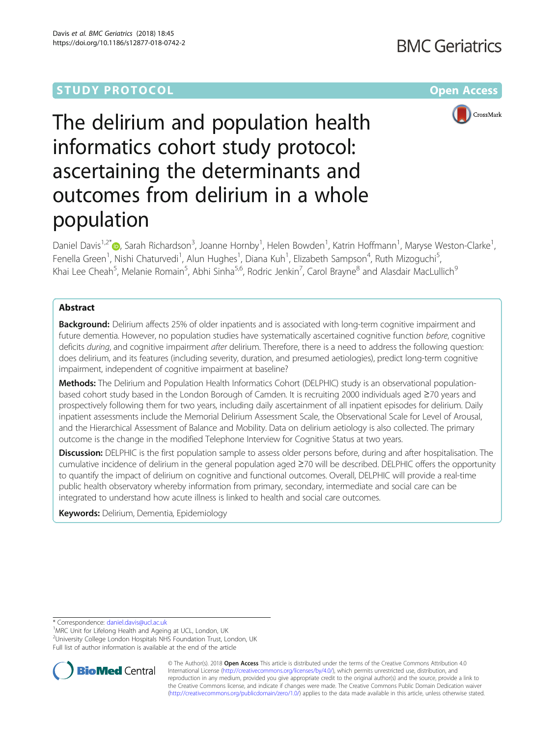# **STUDY PROTOCOL CONSUMING THE RESERVE ACCESS**



# The delirium and population health informatics cohort study protocol: ascertaining the determinants and outcomes from delirium in a whole population

Daniel Davis<sup>1[,](http://orcid.org/0000-0002-1560-1955)2\*</sup>®, Sarah Richardson<sup>3</sup>, Joanne Hornby<sup>1</sup>, Helen Bowden<sup>1</sup>, Katrin Hoffmann<sup>1</sup>, Maryse Weston-Clarke<sup>1</sup> , Fenella Green<sup>1</sup>, Nishi Chaturvedi<sup>1</sup>, Alun Hughes<sup>1</sup>, Diana Kuh<sup>1</sup>, Elizabeth Sampson<sup>4</sup>, Ruth Mizoguchi<sup>5</sup> , Khai Lee Cheah<sup>5</sup>, Melanie Romain<sup>5</sup>, Abhi Sinha<sup>5,6</sup>, Rodric Jenkin<sup>7</sup>, Carol Brayne<sup>8</sup> and Alasdair MacLullich<sup>s</sup>

# Abstract

Background: Delirium affects 25% of older inpatients and is associated with long-term cognitive impairment and future dementia. However, no population studies have systematically ascertained cognitive function before, cognitive deficits *during*, and cognitive impairment *after* delirium. Therefore, there is a need to address the following question: does delirium, and its features (including severity, duration, and presumed aetiologies), predict long-term cognitive impairment, independent of cognitive impairment at baseline?

Methods: The Delirium and Population Health Informatics Cohort (DELPHIC) study is an observational populationbased cohort study based in the London Borough of Camden. It is recruiting 2000 individuals aged ≥70 years and prospectively following them for two years, including daily ascertainment of all inpatient episodes for delirium. Daily inpatient assessments include the Memorial Delirium Assessment Scale, the Observational Scale for Level of Arousal, and the Hierarchical Assessment of Balance and Mobility. Data on delirium aetiology is also collected. The primary outcome is the change in the modified Telephone Interview for Cognitive Status at two years.

**Discussion:** DELPHIC is the first population sample to assess older persons before, during and after hospitalisation. The cumulative incidence of delirium in the general population aged ≥70 will be described. DELPHIC offers the opportunity to quantify the impact of delirium on cognitive and functional outcomes. Overall, DELPHIC will provide a real-time public health observatory whereby information from primary, secondary, intermediate and social care can be integrated to understand how acute illness is linked to health and social care outcomes.

**Keywords: Delirium, Dementia, Epidemiology** 

\* Correspondence: [daniel.davis@ucl.ac.uk](mailto:daniel.davis@ucl.ac.uk) <sup>1</sup>

<sup>1</sup>MRC Unit for Lifelong Health and Ageing at UCL, London, UK

<sup>2</sup>University College London Hospitals NHS Foundation Trust, London, UK

Full list of author information is available at the end of the article



© The Author(s). 2018 Open Access This article is distributed under the terms of the Creative Commons Attribution 4.0 International License [\(http://creativecommons.org/licenses/by/4.0/](http://creativecommons.org/licenses/by/4.0/)), which permits unrestricted use, distribution, and reproduction in any medium, provided you give appropriate credit to the original author(s) and the source, provide a link to the Creative Commons license, and indicate if changes were made. The Creative Commons Public Domain Dedication waiver [\(http://creativecommons.org/publicdomain/zero/1.0/](http://creativecommons.org/publicdomain/zero/1.0/)) applies to the data made available in this article, unless otherwise stated.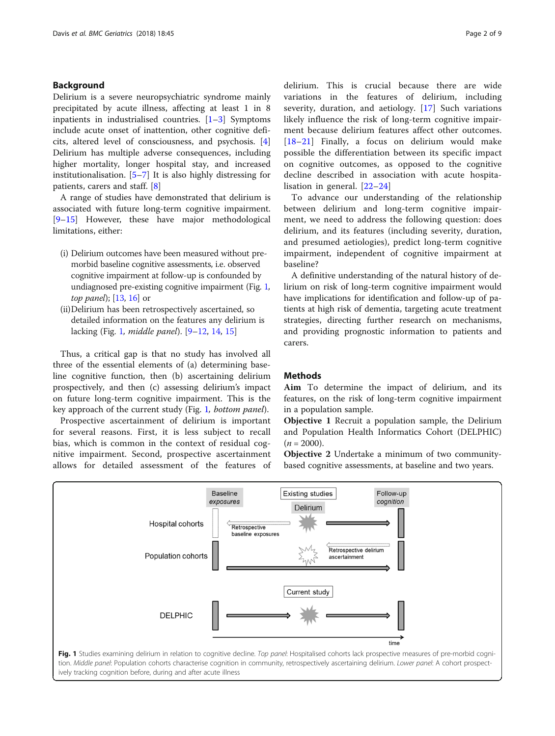# Background

Delirium is a severe neuropsychiatric syndrome mainly precipitated by acute illness, affecting at least 1 in 8 inpatients in industrialised countries.  $[1-3]$  $[1-3]$  $[1-3]$  $[1-3]$  Symptoms include acute onset of inattention, other cognitive deficits, altered level of consciousness, and psychosis. [\[4](#page-7-0)] Delirium has multiple adverse consequences, including higher mortality, longer hospital stay, and increased institutionalisation. [[5](#page-7-0)–[7\]](#page-7-0) It is also highly distressing for patients, carers and staff. [[8\]](#page-7-0)

A range of studies have demonstrated that delirium is associated with future long-term cognitive impairment. [[9](#page-7-0)–[15\]](#page-7-0) However, these have major methodological limitations, either:

- (i) Delirium outcomes have been measured without premorbid baseline cognitive assessments, i.e. observed cognitive impairment at follow-up is confounded by undiagnosed pre-existing cognitive impairment (Fig. 1, top panel);  $[13, 16]$  $[13, 16]$  $[13, 16]$  $[13, 16]$  $[13, 16]$  or
- (ii)Delirium has been retrospectively ascertained, so detailed information on the features any delirium is lacking (Fig. 1, middle panel). [[9](#page-7-0)–[12](#page-7-0), [14,](#page-7-0) [15](#page-7-0)]

Thus, a critical gap is that no study has involved all three of the essential elements of (a) determining baseline cognitive function, then (b) ascertaining delirium prospectively, and then (c) assessing delirium's impact on future long-term cognitive impairment. This is the key approach of the current study (Fig. 1, bottom panel).

Prospective ascertainment of delirium is important for several reasons. First, it is less subject to recall bias, which is common in the context of residual cognitive impairment. Second, prospective ascertainment allows for detailed assessment of the features of

delirium. This is crucial because there are wide variations in the features of delirium, including severity, duration, and aetiology. [[17\]](#page-8-0) Such variations likely influence the risk of long-term cognitive impairment because delirium features affect other outcomes. [[18](#page-8-0)–[21\]](#page-8-0) Finally, a focus on delirium would make possible the differentiation between its specific impact on cognitive outcomes, as opposed to the cognitive decline described in association with acute hospitalisation in general. [[22](#page-8-0)–[24\]](#page-8-0)

To advance our understanding of the relationship between delirium and long-term cognitive impairment, we need to address the following question: does delirium, and its features (including severity, duration, and presumed aetiologies), predict long-term cognitive impairment, independent of cognitive impairment at baseline?

A definitive understanding of the natural history of delirium on risk of long-term cognitive impairment would have implications for identification and follow-up of patients at high risk of dementia, targeting acute treatment strategies, directing further research on mechanisms, and providing prognostic information to patients and carers.

# **Methods**

Aim To determine the impact of delirium, and its features, on the risk of long-term cognitive impairment in a population sample.

Objective 1 Recruit a population sample, the Delirium and Population Health Informatics Cohort (DELPHIC)  $(n = 2000)$ .

Objective 2 Undertake a minimum of two communitybased cognitive assessments, at baseline and two years.



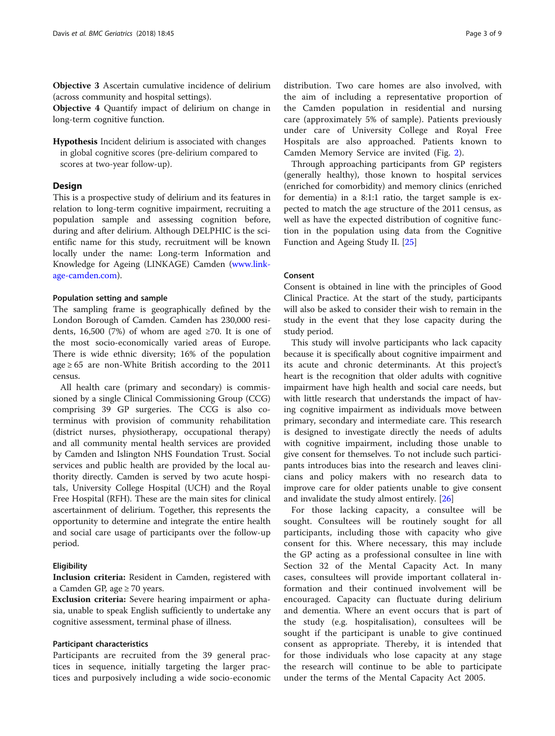Objective 3 Ascertain cumulative incidence of delirium (across community and hospital settings).

Objective 4 Quantify impact of delirium on change in long-term cognitive function.

Hypothesis Incident delirium is associated with changes in global cognitive scores (pre-delirium compared to scores at two-year follow-up).

# Design

This is a prospective study of delirium and its features in relation to long-term cognitive impairment, recruiting a population sample and assessing cognition before, during and after delirium. Although DELPHIC is the scientific name for this study, recruitment will be known locally under the name: Long-term Information and Knowledge for Ageing (LINKAGE) Camden [\(www.link](http://www.linkage-camden.com)[age-camden.com\)](http://www.linkage-camden.com).

#### Population setting and sample

The sampling frame is geographically defined by the London Borough of Camden. Camden has 230,000 residents, 16,500 (7%) of whom are aged  $\geq 70$ . It is one of the most socio-economically varied areas of Europe. There is wide ethnic diversity; 16% of the population age  $\geq 65$  are non-White British according to the 2011 census.

All health care (primary and secondary) is commissioned by a single Clinical Commissioning Group (CCG) comprising 39 GP surgeries. The CCG is also coterminus with provision of community rehabilitation (district nurses, physiotherapy, occupational therapy) and all community mental health services are provided by Camden and Islington NHS Foundation Trust. Social services and public health are provided by the local authority directly. Camden is served by two acute hospitals, University College Hospital (UCH) and the Royal Free Hospital (RFH). These are the main sites for clinical ascertainment of delirium. Together, this represents the opportunity to determine and integrate the entire health and social care usage of participants over the follow-up period.

# **Eligibility**

Inclusion criteria: Resident in Camden, registered with a Camden GP, age ≥ 70 years.

Exclusion criteria: Severe hearing impairment or aphasia, unable to speak English sufficiently to undertake any cognitive assessment, terminal phase of illness.

#### Participant characteristics

Participants are recruited from the 39 general practices in sequence, initially targeting the larger practices and purposively including a wide socio-economic

distribution. Two care homes are also involved, with the aim of including a representative proportion of the Camden population in residential and nursing care (approximately 5% of sample). Patients previously under care of University College and Royal Free Hospitals are also approached. Patients known to Camden Memory Service are invited (Fig. [2\)](#page-3-0).

Through approaching participants from GP registers (generally healthy), those known to hospital services (enriched for comorbidity) and memory clinics (enriched for dementia) in a 8:1:1 ratio, the target sample is expected to match the age structure of the 2011 census, as well as have the expected distribution of cognitive function in the population using data from the Cognitive Function and Ageing Study II. [[25](#page-8-0)]

# Consent

Consent is obtained in line with the principles of Good Clinical Practice. At the start of the study, participants will also be asked to consider their wish to remain in the study in the event that they lose capacity during the study period.

This study will involve participants who lack capacity because it is specifically about cognitive impairment and its acute and chronic determinants. At this project's heart is the recognition that older adults with cognitive impairment have high health and social care needs, but with little research that understands the impact of having cognitive impairment as individuals move between primary, secondary and intermediate care. This research is designed to investigate directly the needs of adults with cognitive impairment, including those unable to give consent for themselves. To not include such participants introduces bias into the research and leaves clinicians and policy makers with no research data to improve care for older patients unable to give consent and invalidate the study almost entirely. [\[26](#page-8-0)]

For those lacking capacity, a consultee will be sought. Consultees will be routinely sought for all participants, including those with capacity who give consent for this. Where necessary, this may include the GP acting as a professional consultee in line with Section 32 of the Mental Capacity Act. In many cases, consultees will provide important collateral information and their continued involvement will be encouraged. Capacity can fluctuate during delirium and dementia. Where an event occurs that is part of the study (e.g. hospitalisation), consultees will be sought if the participant is unable to give continued consent as appropriate. Thereby, it is intended that for those individuals who lose capacity at any stage the research will continue to be able to participate under the terms of the Mental Capacity Act 2005.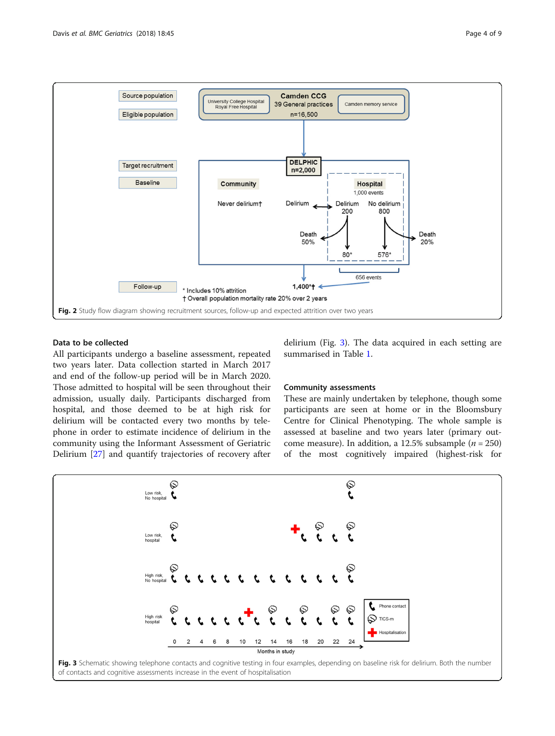<span id="page-3-0"></span>

# Data to be collected

All participants undergo a baseline assessment, repeated two years later. Data collection started in March 2017 and end of the follow-up period will be in March 2020. Those admitted to hospital will be seen throughout their admission, usually daily. Participants discharged from hospital, and those deemed to be at high risk for delirium will be contacted every two months by telephone in order to estimate incidence of delirium in the community using the Informant Assessment of Geriatric Delirium [\[27\]](#page-8-0) and quantify trajectories of recovery after delirium (Fig. 3). The data acquired in each setting are summarised in Table [1.](#page-4-0)

### Community assessments

These are mainly undertaken by telephone, though some participants are seen at home or in the Bloomsbury Centre for Clinical Phenotyping. The whole sample is assessed at baseline and two years later (primary outcome measure). In addition, a 12.5% subsample  $(n = 250)$ of the most cognitively impaired (highest-risk for

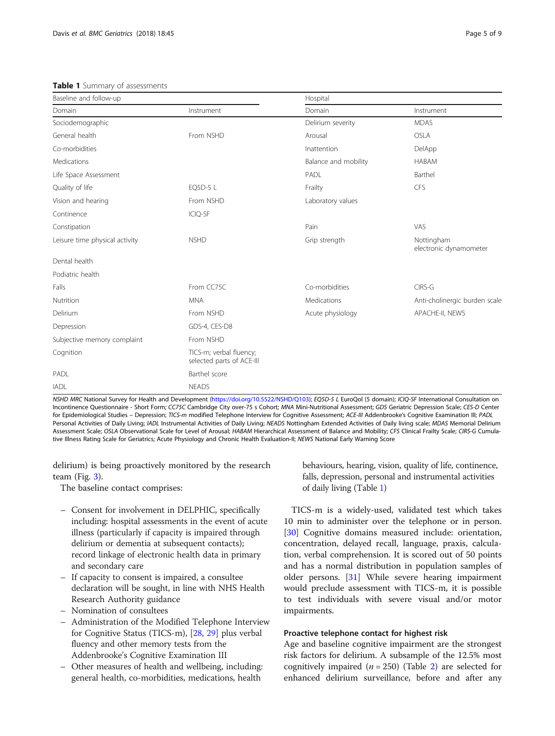<span id="page-4-0"></span>Table 1 Summary of assessments

| Baseline and follow-up         |                         | Hospital             |                                      |  |  |  |
|--------------------------------|-------------------------|----------------------|--------------------------------------|--|--|--|
| Domain                         | Instrument              | Domain               | Instrument                           |  |  |  |
| Sociodemographic               |                         | Delirium severity    | <b>MDAS</b>                          |  |  |  |
| General health                 | From NSHD               | Arousal              | OSLA                                 |  |  |  |
| Co-morbidities                 |                         | Inattention          | DelApp                               |  |  |  |
| Medications                    |                         | Balance and mobility | <b>HABAM</b>                         |  |  |  |
| Life Space Assessment          |                         | PADL                 | Barthel                              |  |  |  |
| Quality of life                | EQ5D-5 L                | Frailty              | CFS                                  |  |  |  |
| Vision and hearing             | From NSHD               | Laboratory values    |                                      |  |  |  |
| Continence                     | ICIQ-SF                 |                      |                                      |  |  |  |
| Constipation                   |                         | Pain                 | VAS                                  |  |  |  |
| Leisure time physical activity | <b>NSHD</b>             | Grip strength        | Nottingham<br>electronic dynamometer |  |  |  |
| Dental health                  |                         |                      |                                      |  |  |  |
| Podiatric health               |                         |                      |                                      |  |  |  |
| Falls                          | From CC75C              | Co-morbidities       | $CIRS-G$                             |  |  |  |
| Nutrition                      | <b>MNA</b>              | Medications          | Anti-cholinergic burden scale        |  |  |  |
| Delirium                       | From NSHD               | Acute physiology     | APACHE-II, NEWS                      |  |  |  |
| Depression                     | GDS-4, CES-D8           |                      |                                      |  |  |  |
| Subjective memory complaint    | From NSHD               |                      |                                      |  |  |  |
| Cognition                      | TICS-m; verbal fluency; |                      |                                      |  |  |  |

NSHD MRC National Survey for Health and Development [\(https://doi.org/10.5522/NSHD/Q103\)](https://doi.org/10.5522/NSHD/Q103); EQ5D-5 L EuroQol (5 domain); ICIQ-SF International Consultation on Incontinence Questionnaire - Short Form; CC75C Cambridge City over-75 s Cohort; MNA Mini-Nutritional Assessment; GDS Geriatric Depression Scale; CES-D Center for Epidemiological Studies - Depression; TICS-m modified Telephone Interview for Cognitive Assessment; ACE-III Addenbrooke's Cognitive Examination III; PADL Personal Activities of Daily Living; IADL Instrumental Activities of Daily Living; NEADS Nottingham Extended Activities of Daily living scale; MDAS Memorial Delirium Assessment Scale; OSLA Observational Scale for Level of Arousal; HABAM Hierarchical Assessment of Balance and Mobility; CFS Clinical Frailty Scale; CIRS-G Cumulative Illness Rating Scale for Geriatrics; Acute Physiology and Chronic Health Evaluation-II; NEWS National Early Warning Score

selected parts of ACE-III

delirium) is being proactively monitored by the research team (Fig. [3](#page-3-0)).

The baseline contact comprises:

PADI Barthel score IADL NEADS

- Consent for involvement in DELPHIC, specifically including: hospital assessments in the event of acute illness (particularly if capacity is impaired through delirium or dementia at subsequent contacts); record linkage of electronic health data in primary and secondary care
- If capacity to consent is impaired, a consultee declaration will be sought, in line with NHS Health Research Authority guidance
- Nomination of consultees
- Administration of the Modified Telephone Interview for Cognitive Status (TICS-m), [\[28,](#page-8-0) [29\]](#page-8-0) plus verbal fluency and other memory tests from the Addenbrooke's Cognitive Examination III
- Other measures of health and wellbeing, including: general health, co-morbidities, medications, health

behaviours, hearing, vision, quality of life, continence, falls, depression, personal and instrumental activities of daily living (Table 1)

TICS-m is a widely-used, validated test which takes 10 min to administer over the telephone or in person. [[30\]](#page-8-0) Cognitive domains measured include: orientation, concentration, delayed recall, language, praxis, calculation, verbal comprehension. It is scored out of 50 points and has a normal distribution in population samples of older persons. [\[31\]](#page-8-0) While severe hearing impairment would preclude assessment with TICS-m, it is possible to test individuals with severe visual and/or motor impairments.

# Proactive telephone contact for highest risk

Age and baseline cognitive impairment are the strongest risk factors for delirium. A subsample of the 12.5% most cognitively impaired ( $n = 250$ ) (Table [2\)](#page-5-0) are selected for enhanced delirium surveillance, before and after any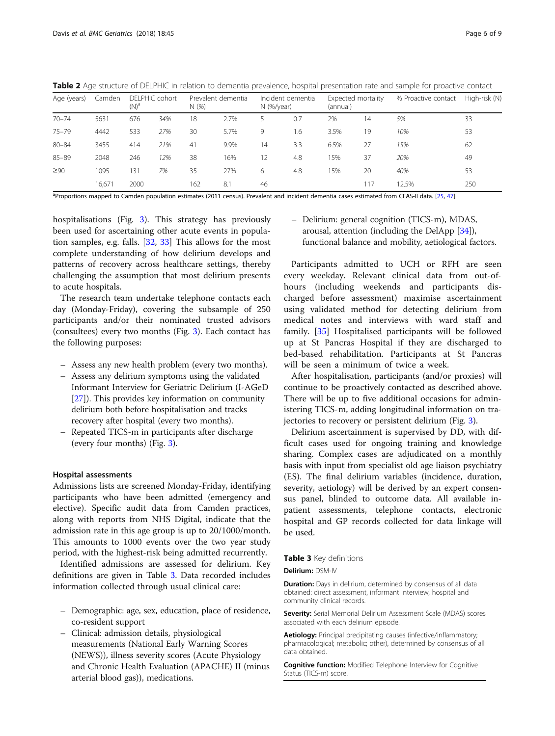| Age (years) | Camden<br>5631 | DELPHIC cohort<br>$(N)^{a}$ |     | Prevalent dementia<br>N(%) |      | Incident dementia<br>$N$ (%/year) |     | Expected mortality<br>(annual) |     | % Proactive contact | High-risk (N) |
|-------------|----------------|-----------------------------|-----|----------------------------|------|-----------------------------------|-----|--------------------------------|-----|---------------------|---------------|
| $70 - 74$   |                | 676                         | 34% | 18                         | 2.7% |                                   | 0.7 | 2%                             | 14  | 5%                  | 33            |
| $75 - 79$   | 4442           | 533                         | 27% | 30                         | 5.7% | 9                                 | 1.6 | 3.5%                           | 19  | 10%                 | 53            |
| $80 - 84$   | 3455           | 414                         | 21% | 41                         | 9.9% | 14                                | 3.3 | 6.5%                           | 27  | 15%                 | 62            |
| $85 - 89$   | 2048           | 246                         | 12% | 38                         | 16%  | 12                                | 4.8 | 15%                            | 37  | 20%                 | 49            |
| $\geq 90$   | 1095           | 131                         | 7%  | 35                         | 27%  | 6                                 | 4.8 | 15%                            | 20  | 40%                 | 53            |
|             | 16.671         | 2000                        |     | 162                        | 8.1  | 46                                |     |                                | 117 | 12.5%               | 250           |

<span id="page-5-0"></span>Table 2 Age structure of DELPHIC in relation to dementia prevalence, hospital presentation rate and sample for proactive contact

<sup>a</sup>Proportions mapped to Camden population estimates (2011 census). Prevalent and incident dementia cases estimated from CFAS-II data. [\[25](#page-8-0), [47\]](#page-8-0)

hospitalisations (Fig. [3\)](#page-3-0). This strategy has previously been used for ascertaining other acute events in population samples, e.g. falls. [\[32](#page-8-0), [33\]](#page-8-0) This allows for the most complete understanding of how delirium develops and patterns of recovery across healthcare settings, thereby challenging the assumption that most delirium presents to acute hospitals.

The research team undertake telephone contacts each day (Monday-Friday), covering the subsample of 250 participants and/or their nominated trusted advisors (consultees) every two months (Fig. [3\)](#page-3-0). Each contact has the following purposes:

- Assess any new health problem (every two months).
- Assess any delirium symptoms using the validated Informant Interview for Geriatric Delirium (I-AGeD [[27](#page-8-0)]). This provides key information on community delirium both before hospitalisation and tracks recovery after hospital (every two months).
- Repeated TICS-m in participants after discharge (every four months) (Fig. [3](#page-3-0)).

#### Hospital assessments

Admissions lists are screened Monday-Friday, identifying participants who have been admitted (emergency and elective). Specific audit data from Camden practices, along with reports from NHS Digital, indicate that the admission rate in this age group is up to 20/1000/month. This amounts to 1000 events over the two year study period, with the highest-risk being admitted recurrently.

Identified admissions are assessed for delirium. Key definitions are given in Table 3. Data recorded includes information collected through usual clinical care:

- Demographic: age, sex, education, place of residence, co-resident support
- Clinical: admission details, physiological measurements (National Early Warning Scores (NEWS)), illness severity scores (Acute Physiology and Chronic Health Evaluation (APACHE) II (minus arterial blood gas)), medications.

– Delirium: general cognition (TICS-m), MDAS, arousal, attention (including the DelApp [[34](#page-8-0)]), functional balance and mobility, aetiological factors.

Participants admitted to UCH or RFH are seen every weekday. Relevant clinical data from out-ofhours (including weekends and participants discharged before assessment) maximise ascertainment using validated method for detecting delirium from medical notes and interviews with ward staff and family. [[35\]](#page-8-0) Hospitalised participants will be followed up at St Pancras Hospital if they are discharged to bed-based rehabilitation. Participants at St Pancras will be seen a minimum of twice a week.

After hospitalisation, participants (and/or proxies) will continue to be proactively contacted as described above. There will be up to five additional occasions for administering TICS-m, adding longitudinal information on trajectories to recovery or persistent delirium (Fig. [3\)](#page-3-0).

Delirium ascertainment is supervised by DD, with difficult cases used for ongoing training and knowledge sharing. Complex cases are adjudicated on a monthly basis with input from specialist old age liaison psychiatry (ES). The final delirium variables (incidence, duration, severity, aetiology) will be derived by an expert consensus panel, blinded to outcome data. All available inpatient assessments, telephone contacts, electronic hospital and GP records collected for data linkage will be used.

#### Table 3 Key definitions

#### Delirium: DSM-IV

**Duration:** Days in delirium, determined by consensus of all data obtained: direct assessment, informant interview, hospital and community clinical records.

**Severity:** Serial Memorial Delirium Assessment Scale (MDAS) scores associated with each delirium episode.

Aetiology: Principal precipitating causes (infective/inflammatory; pharmacological; metabolic; other), determined by consensus of all data obtained.

**Cognitive function:** Modified Telephone Interview for Cognitive Status (TICS-m) score.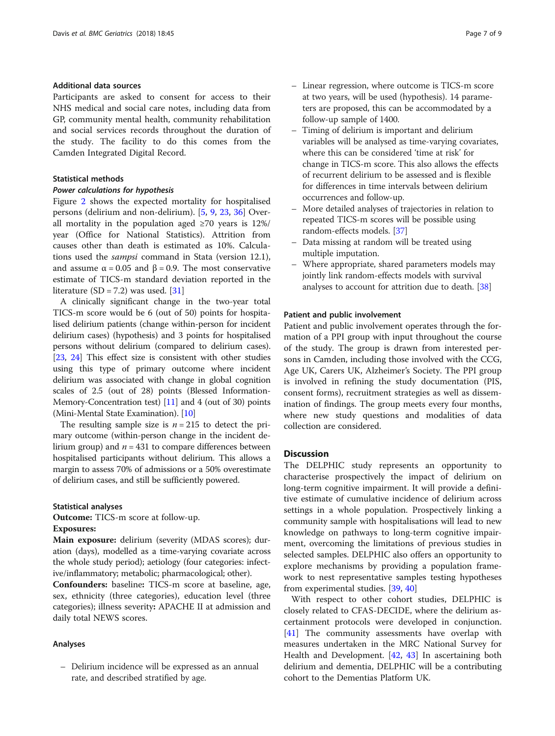# Additional data sources

Participants are asked to consent for access to their NHS medical and social care notes, including data from GP, community mental health, community rehabilitation and social services records throughout the duration of the study. The facility to do this comes from the Camden Integrated Digital Record.

### Statistical methods

# Power calculations for hypothesis

Figure [2](#page-3-0) shows the expected mortality for hospitalised persons (delirium and non-delirium). [[5](#page-7-0), [9,](#page-7-0) [23,](#page-8-0) [36\]](#page-8-0) Overall mortality in the population aged  $\geq 70$  years is 12%/ year (Office for National Statistics). Attrition from causes other than death is estimated as 10%. Calculations used the sampsi command in Stata (version 12.1), and assume  $α = 0.05$  and  $β = 0.9$ . The most conservative estimate of TICS-m standard deviation reported in the literature  $(SD = 7.2)$  was used. [\[31\]](#page-8-0)

A clinically significant change in the two-year total TICS-m score would be 6 (out of 50) points for hospitalised delirium patients (change within-person for incident delirium cases) (hypothesis) and 3 points for hospitalised persons without delirium (compared to delirium cases). [[23](#page-8-0), [24](#page-8-0)] This effect size is consistent with other studies using this type of primary outcome where incident delirium was associated with change in global cognition scales of 2.5 (out of 28) points (Blessed Information-Memory-Concentration test) [[11](#page-7-0)] and 4 (out of 30) points (Mini-Mental State Examination). [\[10](#page-7-0)]

The resulting sample size is  $n = 215$  to detect the primary outcome (within-person change in the incident delirium group) and  $n = 431$  to compare differences between hospitalised participants without delirium. This allows a margin to assess 70% of admissions or a 50% overestimate of delirium cases, and still be sufficiently powered.

#### Statistical analyses

Outcome: TICS-m score at follow-up. Exposures:

Main exposure: delirium (severity (MDAS scores); duration (days), modelled as a time-varying covariate across the whole study period); aetiology (four categories: infective/inflammatory; metabolic; pharmacological; other).

Confounders: baseline: TICS-m score at baseline, age, sex, ethnicity (three categories), education level (three categories); illness severity: APACHE II at admission and daily total NEWS scores.

# Analyses

– Delirium incidence will be expressed as an annual rate, and described stratified by age.

- Linear regression, where outcome is TICS-m score at two years, will be used (hypothesis). 14 parameters are proposed, this can be accommodated by a follow-up sample of 1400.
- Timing of delirium is important and delirium variables will be analysed as time-varying covariates, where this can be considered 'time at risk' for change in TICS-m score. This also allows the effects of recurrent delirium to be assessed and is flexible for differences in time intervals between delirium occurrences and follow-up.
- More detailed analyses of trajectories in relation to repeated TICS-m scores will be possible using random-effects models. [[37\]](#page-8-0)
- Data missing at random will be treated using multiple imputation.
- Where appropriate, shared parameters models may jointly link random-effects models with survival analyses to account for attrition due to death. [\[38\]](#page-8-0)

# Patient and public involvement

Patient and public involvement operates through the formation of a PPI group with input throughout the course of the study. The group is drawn from interested persons in Camden, including those involved with the CCG, Age UK, Carers UK, Alzheimer's Society. The PPI group is involved in refining the study documentation (PIS, consent forms), recruitment strategies as well as dissemination of findings. The group meets every four months, where new study questions and modalities of data collection are considered.

# **Discussion**

The DELPHIC study represents an opportunity to characterise prospectively the impact of delirium on long-term cognitive impairment. It will provide a definitive estimate of cumulative incidence of delirium across settings in a whole population. Prospectively linking a community sample with hospitalisations will lead to new knowledge on pathways to long-term cognitive impairment, overcoming the limitations of previous studies in selected samples. DELPHIC also offers an opportunity to explore mechanisms by providing a population framework to nest representative samples testing hypotheses from experimental studies. [\[39,](#page-8-0) [40\]](#page-8-0)

With respect to other cohort studies, DELPHIC is closely related to CFAS-DECIDE, where the delirium ascertainment protocols were developed in conjunction. [[41\]](#page-8-0) The community assessments have overlap with measures undertaken in the MRC National Survey for Health and Development. [\[42,](#page-8-0) [43](#page-8-0)] In ascertaining both delirium and dementia, DELPHIC will be a contributing cohort to the Dementias Platform UK.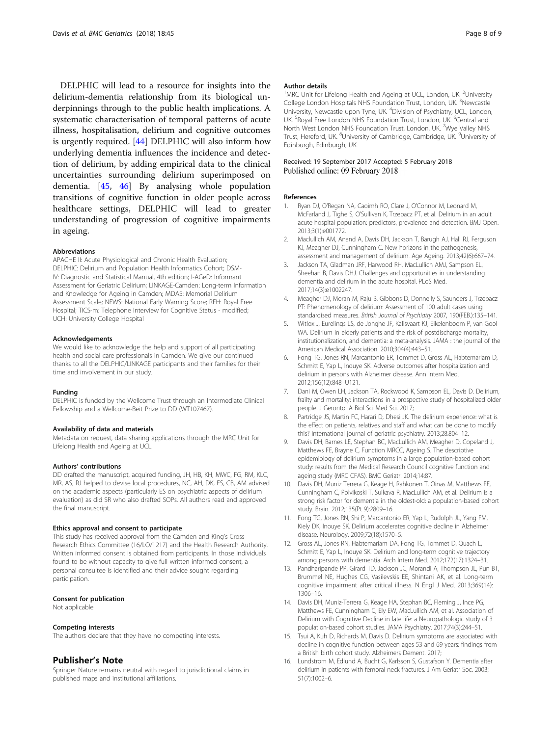<span id="page-7-0"></span>DELPHIC will lead to a resource for insights into the delirium-dementia relationship from its biological underpinnings through to the public health implications. A systematic characterisation of temporal patterns of acute illness, hospitalisation, delirium and cognitive outcomes is urgently required. [[44](#page-8-0)] DELPHIC will also inform how underlying dementia influences the incidence and detection of delirium, by adding empirical data to the clinical uncertainties surrounding delirium superimposed on dementia. [\[45,](#page-8-0) [46](#page-8-0)] By analysing whole population transitions of cognitive function in older people across healthcare settings, DELPHIC will lead to greater understanding of progression of cognitive impairments in ageing.

#### Abbreviations

APACHE II: Acute Physiological and Chronic Health Evaluation; DELPHIC: Delirium and Population Health Informatics Cohort; DSM-IV: Diagnostic and Statistical Manual, 4th edition; I-AGeD: Informant Assessment for Geriatric Delirium; LINKAGE-Camden: Long-term Information and Knowledge for Ageing in Camden; MDAS: Memorial Delirium Assessment Scale; NEWS: National Early Warning Score; RFH: Royal Free Hospital; TICS-m: Telephone Interview for Cognitive Status - modified; UCH: University College Hospital

#### Acknowledgements

We would like to acknowledge the help and support of all participating health and social care professionals in Camden. We give our continued thanks to all the DELPHIC/LINKAGE participants and their families for their time and involvement in our study.

#### Funding

DELPHIC is funded by the Wellcome Trust through an Intermediate Clinical Fellowship and a Wellcome-Beit Prize to DD (WT107467).

#### Availability of data and materials

Metadata on request, data sharing applications through the MRC Unit for Lifelong Health and Ageing at UCL.

#### Authors' contributions

DD drafted the manuscript, acquired funding, JH, HB, KH, MWC, FG, RM, KLC, MR, AS, RJ helped to devise local procedures, NC, AH, DK, ES, CB, AM advised on the academic aspects (particularly ES on psychiatric aspects of delirium evaluation) as did SR who also drafted SOPs. All authors read and approved the final manuscript.

#### Ethics approval and consent to participate

This study has received approval from the Camden and King's Cross Research Ethics Committee (16/LO/1217) and the Health Research Authority. Written informed consent is obtained from participants. In those individuals found to be without capacity to give full written informed consent, a personal consultee is identified and their advice sought regarding participation.

#### Consent for publication

Not applicable

#### Competing interests

The authors declare that they have no competing interests.

#### Publisher's Note

Springer Nature remains neutral with regard to jurisdictional claims in published maps and institutional affiliations.

#### Author details

<sup>1</sup>MRC Unit for Lifelong Health and Ageing at UCL, London, UK. <sup>2</sup>University College London Hospitals NHS Foundation Trust, London, UK. <sup>3</sup>Newcastle University, Newcastle upon Tyne, UK. <sup>4</sup>Division of Psychiatry, UCL, London, UK. <sup>5</sup>Royal Free London NHS Foundation Trust, London, UK. <sup>6</sup>Central and North West London NHS Foundation Trust, London, UK. <sup>7</sup>Wye Valley NHS Trust, Hereford, UK. <sup>8</sup>University of Cambridge, Cambridge, UK. <sup>9</sup>University of Edinburgh, Edinburgh, UK.

# Received: 19 September 2017 Accepted: 5 February 2018 Published online: 09 February 2018

#### References

- 1. Ryan DJ, O'Regan NA, Caoimh RO, Clare J, O'Connor M, Leonard M, McFarland J, Tighe S, O'Sullivan K, Trzepacz PT, et al. Delirium in an adult acute hospital population: predictors, prevalence and detection. BMJ Open. 2013;3(1):e001772.
- 2. Maclullich AM, Anand A, Davis DH, Jackson T, Barugh AJ, Hall RJ, Ferguson KJ, Meagher DJ, Cunningham C. New horizons in the pathogenesis, assessment and management of delirium. Age Ageing. 2013;42(6):667–74.
- Jackson TA, Gladman JRF, Harwood RH, MacLullich AMJ, Sampson EL, Sheehan B, Davis DHJ. Challenges and opportunities in understanding dementia and delirium in the acute hospital. PLoS Med. 2017;14(3):e1002247.
- 4. Meagher DJ, Moran M, Raju B, Gibbons D, Donnelly S, Saunders J, Trzepacz PT: Phenomenology of delirium: Assessment of 100 adult cases using standardised measures. British Journal of Psychiatry 2007, 190(FEB.):135–141.
- 5. Witlox J, Eurelings LS, de Jonghe JF, Kalisvaart KJ, Eikelenboom P, van Gool WA. Delirium in elderly patients and the risk of postdischarge mortality, institutionalization, and dementia: a meta-analysis. JAMA : the journal of the American Medical Association. 2010;304(4):443–51.
- 6. Fong TG, Jones RN, Marcantonio ER, Tommet D, Gross AL, Habtemariam D, Schmitt E, Yap L, Inouye SK. Adverse outcomes after hospitalization and delirium in persons with Alzheimer disease. Ann Intern Med. 2012;156(12):848–U121.
- 7. Dani M, Owen LH, Jackson TA, Rockwood K, Sampson EL, Davis D. Delirium, frailty and mortality: interactions in a prospective study of hospitalized older people. J Gerontol A Biol Sci Med Sci. 2017;
- Partridge JS, Martin FC, Harari D, Dhesi JK. The delirium experience: what is the effect on patients, relatives and staff and what can be done to modify this? International journal of geriatric psychiatry. 2013;28:804–12.
- 9. Davis DH, Barnes LE, Stephan BC, MacLullich AM, Meagher D, Copeland J, Matthews FE, Brayne C, Function MRCC, Ageing S. The descriptive epidemiology of delirium symptoms in a large population-based cohort study: results from the Medical Research Council cognitive function and ageing study (MRC CFAS). BMC Geriatr. 2014;14:87.
- 10. Davis DH, Muniz Terrera G, Keage H, Rahkonen T, Oinas M, Matthews FE, Cunningham C, Polvikoski T, Sulkava R, MacLullich AM, et al. Delirium is a strong risk factor for dementia in the oldest-old: a population-based cohort study. Brain. 2012;135(Pt 9):2809–16.
- 11. Fong TG, Jones RN, Shi P, Marcantonio ER, Yap L, Rudolph JL, Yang FM, Kiely DK, Inouye SK. Delirium accelerates cognitive decline in Alzheimer disease. Neurology. 2009;72(18):1570–5.
- 12. Gross AL, Jones RN, Habtemariam DA, Fong TG, Tommet D, Quach L, Schmitt E, Yap L, Inouye SK. Delirium and long-term cognitive trajectory among persons with dementia. Arch Intern Med. 2012;172(17):1324–31.
- 13. Pandharipande PP, Girard TD, Jackson JC, Morandi A, Thompson JL, Pun BT, Brummel NE, Hughes CG, Vasilevskis EE, Shintani AK, et al. Long-term cognitive impairment after critical illness. N Engl J Med. 2013;369(14): 1306–16.
- 14. Davis DH, Muniz-Terrera G, Keage HA, Stephan BC, Fleming J, Ince PG, Matthews FE, Cunningham C, Ely EW, MacLullich AM, et al. Association of Delirium with Cognitive Decline in late life: a Neuropathologic study of 3 population-based cohort studies. JAMA Psychiatry. 2017;74(3):244–51.
- 15. Tsui A, Kuh D, Richards M, Davis D. Delirium symptoms are associated with decline in cognitive function between ages 53 and 69 years: findings from a British birth cohort study. Alzheimers Dement. 2017;
- 16. Lundstrom M, Edlund A, Bucht G, Karlsson S, Gustafson Y. Dementia after delirium in patients with femoral neck fractures. J Am Geriatr Soc. 2003; 51(7):1002–6.